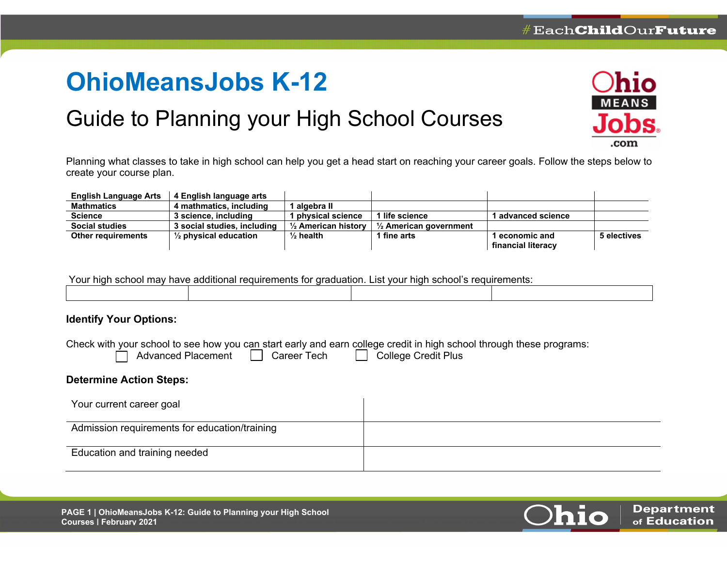# **OhioMeansJobs K-12**

## Guide to Planning your High School Courses



Planning what classes to take in high school can help you get a head start on reaching your career goals. Follow the steps below to create your course plan.

| <b>English Language Arts</b> | 4 English language arts          |                                |                                   |                    |             |
|------------------------------|----------------------------------|--------------------------------|-----------------------------------|--------------------|-------------|
| <b>Mathmatics</b>            | 4 mathmatics, including          | algebra II                     |                                   |                    |             |
| Science                      | 3 science, including             | physical science               | 1 life science                    | l advanced science |             |
| <b>Social studies</b>        | 3 social studies, including      | $\frac{1}{2}$ American history | $\frac{1}{2}$ American government |                    |             |
| <b>Other requirements</b>    | $\frac{1}{2}$ physical education | $\frac{1}{2}$ health           | 1 fine arts                       | l economic and     | 5 electives |
|                              |                                  |                                |                                   | financial literacy |             |

| Your high school may have additional requirements for graduation. List your high school's requirements: |  |  |  |
|---------------------------------------------------------------------------------------------------------|--|--|--|
|                                                                                                         |  |  |  |

### **Identify Your Options:**

|                                | Check with your school to see how you can start early and earn college credit in high school through these programs:<br>Advanced Placement   Career Tech   College Credit Plus |  |
|--------------------------------|--------------------------------------------------------------------------------------------------------------------------------------------------------------------------------|--|
| <b>Determine Action Steps:</b> |                                                                                                                                                                                |  |
| Your current career goal       |                                                                                                                                                                                |  |

| Admission requirements for education/training |  |
|-----------------------------------------------|--|
|                                               |  |
|                                               |  |
| Education and training needed                 |  |
|                                               |  |
|                                               |  |